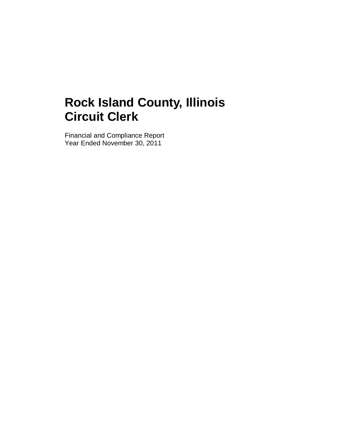Financial and Compliance Report Year Ended November 30, 2011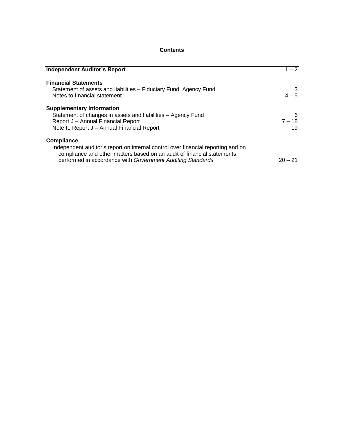### **Contents**

| <b>Independent Auditor's Report</b>                                                                                                                                                                                                           | $1 - 2$             |
|-----------------------------------------------------------------------------------------------------------------------------------------------------------------------------------------------------------------------------------------------|---------------------|
| <b>Financial Statements</b><br>Statement of assets and liabilities - Fiduciary Fund, Agency Fund<br>Notes to financial statement                                                                                                              | $4 - 5$             |
| <b>Supplementary Information</b><br>Statement of changes in assets and liabilities - Agency Fund<br>Report J - Annual Financial Report<br>Note to Report J - Annual Financial Report                                                          | 6<br>$7 - 18$<br>19 |
| <b>Compliance</b><br>Independent auditor's report on internal control over financial reporting and on<br>compliance and other matters based on an audit of financial statements<br>performed in accordance with Government Auditing Standards | $20 - 21$           |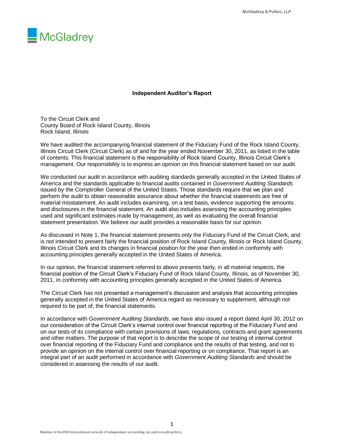

#### **Independent Auditor's Report**

To the Circuit Clerk and County Board of Rock Island County, Illinois Rock Island, Illinois

We have audited the accompanying financial statement of the Fiduciary Fund of the Rock Island County, Illinois Circuit Clerk (Circuit Clerk) as of and for the year ended November 30, 2011, as listed in the table of contents. This financial statement is the responsibility of Rock Island County, Illinois Circuit Clerk's management. Our responsibility is to express an opinion on this financial statement based on our audit.

We conducted our audit in accordance with auditing standards generally accepted in the United States of America and the standards applicable to financial audits contained in *Government Auditing Standards* issued by the Comptroller General of the United States. Those standards require that we plan and perform the audit to obtain reasonable assurance about whether the financial statements are free of material misstatement. An audit includes examining, on a test basis, evidence supporting the amounts and disclosures in the financial statement. An audit also includes assessing the accounting principles used and significant estimates made by management, as well as evaluating the overall financial statement presentation. We believe our audit provides a reasonable basis for our opinion.

As discussed in Note 1, the financial statement presents only the Fiduciary Fund of the Circuit Clerk, and is not intended to present fairly the financial position of Rock Island County, Illinois or Rock Island County, Illinois Circuit Clerk and its changes in financial position for the year then ended in conformity with accounting principles generally accepted in the United States of America.

In our opinion, the financial statement referred to above presents fairly, in all material respects, the financial position of the Circuit Clerk's Fiduciary Fund of Rock Island County, Illinois, as of November 30, 2011, in conformity with accounting principles generally accepted in the United States of America.

The Circuit Clerk has not presented a management's discussion and analysis that accounting principles generally accepted in the United States of America regard as necessary to supplement, although not required to be part of, the financial statements.

In accordance with *Government Auditing Standards*, we have also issued a report dated April 30, 2012 on our consideration of the Circuit Clerk's internal control over financial reporting of the Fiduciary Fund and on our tests of its compliance with certain provisions of laws, regulations, contracts and grant agreements and other matters. The purpose of that report is to describe the scope of our testing of internal control over financial reporting of the Fiduciary Fund and compliance and the results of that testing, and not to provide an opinion on the internal control over financial reporting or on compliance. That report is an integral part of an audit performed in accordance with *Government Auditing Standards* and should be considered in assessing the results of our audit.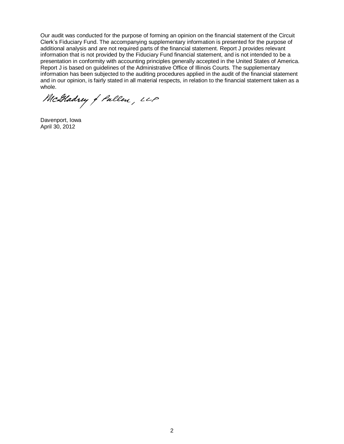Our audit was conducted for the purpose of forming an opinion on the financial statement of the Circuit Clerk's Fiduciary Fund. The accompanying supplementary information is presented for the purpose of additional analysis and are not required parts of the financial statement. Report J provides relevant information that is not provided by the Fiduciary Fund financial statement, and is not intended to be a presentation in conformity with accounting principles generally accepted in the United States of America. Report J is based on guidelines of the Administrative Office of Illinois Courts. The supplementary information has been subjected to the auditing procedures applied in the audit of the financial statement and in our opinion, is fairly stated in all material respects, in relation to the financial statement taken as a whole.

McGladrey of Pallen, LLP

Davenport, Iowa April 30, 2012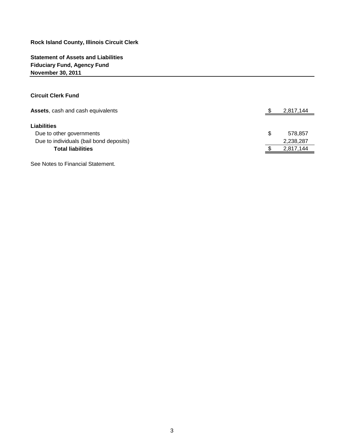**Statement of Assets and Liabilities Fiduciary Fund, Agency Fund November 30, 2011**

#### **Circuit Clerk Fund**

| Assets, cash and cash equivalents       |   | 2,817,144 |
|-----------------------------------------|---|-----------|
|                                         |   |           |
| <b>Liabilities</b>                      |   |           |
| Due to other governments                | S | 578,857   |
| Due to individuals (bail bond deposits) |   | 2,238,287 |
| <b>Total liabilities</b>                |   | 2,817,144 |
|                                         |   |           |

See Notes to Financial Statement.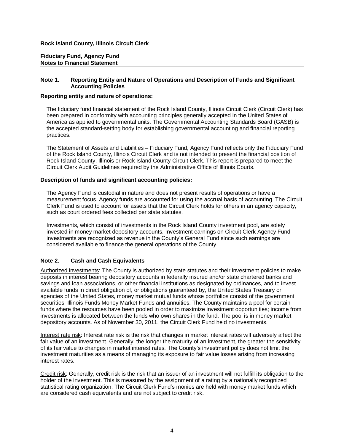#### **Fiduciary Fund, Agency Fund Notes to Financial Statement**

#### **Note 1. Reporting Entity and Nature of Operations and Description of Funds and Significant Accounting Policies**

#### **Reporting entity and nature of operations:**

The fiduciary fund financial statement of the Rock Island County, Illinois Circuit Clerk (Circuit Clerk) has been prepared in conformity with accounting principles generally accepted in the United States of America as applied to governmental units. The Governmental Accounting Standards Board (GASB) is the accepted standard-setting body for establishing governmental accounting and financial reporting practices.

The Statement of Assets and Liabilities – Fiduciary Fund, Agency Fund reflects only the Fiduciary Fund of the Rock Island County, Illinois Circuit Clerk and is not intended to present the financial position of Rock Island County, Illinois or Rock Island County Circuit Clerk. This report is prepared to meet the Circuit Clerk Audit Guidelines required by the Administrative Office of Illinois Courts.

#### **Description of funds and significant accounting policies:**

The Agency Fund is custodial in nature and does not present results of operations or have a measurement focus. Agency funds are accounted for using the accrual basis of accounting. The Circuit Clerk Fund is used to account for assets that the Circuit Clerk holds for others in an agency capacity, such as court ordered fees collected per state statutes.

Investments, which consist of investments in the Rock Island County investment pool, are solely invested in money market depository accounts. Investment earnings on Circuit Clerk Agency Fund investments are recognized as revenue in the County's General Fund since such earnings are considered available to finance the general operations of the County.

#### **Note 2. Cash and Cash Equivalents**

Authorized investments: The County is authorized by state statutes and their investment policies to make deposits in interest bearing depository accounts in federally insured and/or state chartered banks and savings and loan associations, or other financial institutions as designated by ordinances, and to invest available funds in direct obligation of, or obligations guaranteed by, the United States Treasury or agencies of the United States, money market mutual funds whose portfolios consist of the government securities, Illinois Funds Money Market Funds and annuities. The County maintains a pool for certain funds where the resources have been pooled in order to maximize investment opportunities; income from investments is allocated between the funds who own shares in the fund. The pool is in money market depository accounts. As of November 30, 2011, the Circuit Clerk Fund held no investments.

Interest rate risk: Interest rate risk is the risk that changes in market interest rates will adversely affect the fair value of an investment. Generally, the longer the maturity of an investment, the greater the sensitivity of its fair value to changes in market interest rates. The County's investment policy does not limit the investment maturities as a means of managing its exposure to fair value losses arising from increasing interest rates.

Credit risk: Generally, credit risk is the risk that an issuer of an investment will not fulfill its obligation to the holder of the investment. This is measured by the assignment of a rating by a nationally recognized statistical rating organization. The Circuit Clerk Fund's monies are held with money market funds which are considered cash equivalents and are not subject to credit risk.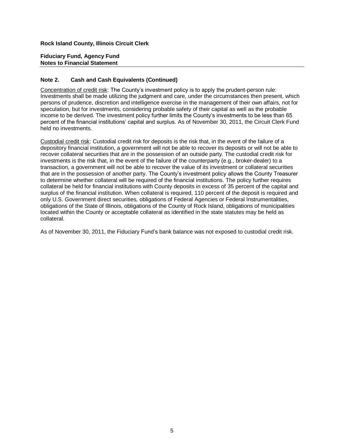#### **Fiduciary Fund, Agency Fund Notes to Financial Statement**

#### **Note 2. Cash and Cash Equivalents (Continued)**

Concentration of credit risk: The County's investment policy is to apply the prudent-person rule: Investments shall be made utilizing the judgment and care, under the circumstances then present, which persons of prudence, discretion and intelligence exercise in the management of their own affairs, not for speculation, but for investments, considering probable safety of their capital as well as the probable income to be derived. The investment policy further limits the County's investments to be less than 65 percent of the financial institutions' capital and surplus. As of November 30, 2011, the Circuit Clerk Fund held no investments.

Custodial credit risk: Custodial credit risk for deposits is the risk that, in the event of the failure of a depository financial institution, a government will not be able to recover its deposits or will not be able to recover collateral securities that are in the possession of an outside party. The custodial credit risk for investments is the risk that, in the event of the failure of the counterparty (e.g., broker-dealer) to a transaction, a government will not be able to recover the value of its investment or collateral securities that are in the possession of another party. The County's investment policy allows the County Treasurer to determine whether collateral will be required of the financial institutions. The policy further requires collateral be held for financial institutions with County deposits in excess of 35 percent of the capital and surplus of the financial institution. When collateral is required, 110 percent of the deposit is required and only U.S. Government direct securities, obligations of Federal Agencies or Federal Instrumentalities, obligations of the State of Illinois, obligations of the County of Rock Island, obligations of municipalities located within the County or acceptable collateral as identified in the state statutes may be held as collateral.

As of November 30, 2011, the Fiduciary Fund's bank balance was not exposed to custodial credit risk.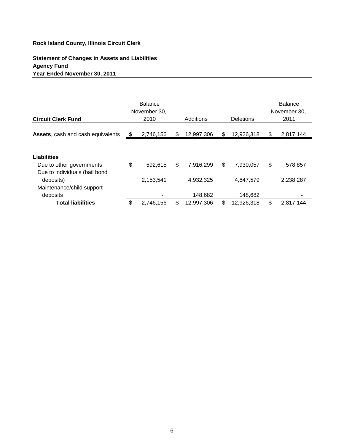# **Statement of Changes in Assets and Liabilities Agency Fund Year Ended November 30, 2011**

| <b>Circuit Clerk Fund</b>                                                           | <b>Balance</b><br>November 30,<br>2010 | Additions            | <b>Deletions</b>     |    | <b>Balance</b><br>November 30,<br>2011 |
|-------------------------------------------------------------------------------------|----------------------------------------|----------------------|----------------------|----|----------------------------------------|
| Assets, cash and cash equivalents                                                   | \$<br>2,746,156                        | \$<br>12,997,306     | \$<br>12,926,318     | S  | 2,817,144                              |
| Liabilities<br>Due to other governments                                             | \$<br>592,615                          | \$<br>7.916.299      | \$<br>7.930.057      | \$ | 578,857                                |
| Due to individuals (bail bond<br>deposits)<br>Maintenance/child support<br>deposits | 2,153,541                              | 4,932,325<br>148,682 | 4,847,579<br>148,682 |    | 2,238,287                              |
| <b>Total liabilities</b>                                                            | \$<br>2,746,156                        | \$<br>12,997,306     | \$<br>12,926,318     | \$ | 2,817,144                              |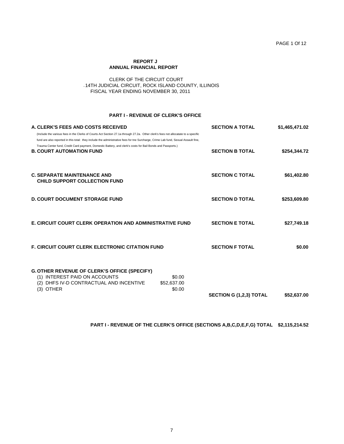#### **REPORT J ANNUAL FINANCIAL REPORT**

#### CLERK OF THE CIRCUIT COURT J14TH JUDICIAL CIRCUIT, ROCK ISLAND COUNTY, ILLINOIS FISCAL YEAR ENDING NOVEMBER 30, 2011

#### **PART I - REVENUE OF CLERK'S OFFICE**

| A. CLERK'S FEES AND COSTS RECEIVED<br>(Include the various fees in the Clerks of Courts Act Section 27.1a through 27.2a. Other clerk's fees not allocatate to a specific                                                                                                             | <b>SECTION A TOTAL</b>         | \$1,465,471.02 |
|--------------------------------------------------------------------------------------------------------------------------------------------------------------------------------------------------------------------------------------------------------------------------------------|--------------------------------|----------------|
| fund are also reported in this total: they include the administrative fees for the Surcharge, Crime Lab fund, Sexual Assault fine,<br>Trauma Center fund, Credit Card payment, Domestic Battery, and clerk's costs for Bail Bonds and Passports.)<br><b>B. COURT AUTOMATION FUND</b> | <b>SECTION B TOTAL</b>         | \$254,344.72   |
| <b>C. SEPARATE MAINTENANCE AND</b><br><b>CHILD SUPPORT COLLECTION FUND</b>                                                                                                                                                                                                           | <b>SECTION C TOTAL</b>         | \$61,402.80    |
| <b>D. COURT DOCUMENT STORAGE FUND</b>                                                                                                                                                                                                                                                | <b>SECTION D TOTAL</b>         | \$253,609.80   |
| <b>E. CIRCUIT COURT CLERK OPERATION AND ADMINISTRATIVE FUND</b>                                                                                                                                                                                                                      | <b>SECTION E TOTAL</b>         | \$27,749.18    |
| <b>F. CIRCUIT COURT CLERK ELECTRONIC CITATION FUND</b>                                                                                                                                                                                                                               | <b>SECTION F TOTAL</b>         | \$0.00         |
| <b>G. OTHER REVENUE OF CLERK'S OFFICE (SPECIFY)</b><br>(1) INTEREST PAID ON ACCOUNTS<br>\$0.00<br>DHFS IV-D CONTRACTUAL AND INCENTIVE<br>\$52,637.00<br>(2)<br><b>OTHER</b><br>\$0.00<br>(3)                                                                                         | <b>SECTION G (1,2,3) TOTAL</b> | \$52,637.00    |

#### **PART I - REVENUE OF THE CLERK'S OFFICE (SECTIONS A,B,C,D,E,F,G) TOTAL \$2,115,214.52**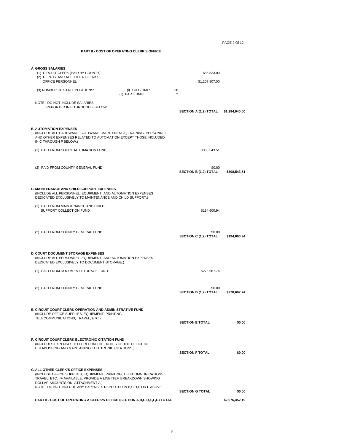PAGE 2 Of 12

#### **PART II - COST OF OPERATING CLERK'S OFFICE**

| <b>A. GROSS SALARIES</b><br>(1) CIRCUIT CLERK (PAID BY COUNTY)<br>(2) DEPUTY AND ALL OTHER CLERK'S<br>OFFICE PERSONNEL                                                                                                                                                                        |                                   | \$86,833.00<br>\$1,207,807.00          |                |
|-----------------------------------------------------------------------------------------------------------------------------------------------------------------------------------------------------------------------------------------------------------------------------------------------|-----------------------------------|----------------------------------------|----------------|
| (3) NUMBER OF STAFF POSITIONS:                                                                                                                                                                                                                                                                | (i) FULL-TIME:<br>(ii) PART TIME: | 38<br>2                                |                |
| NOTE: DO NOT INCLUDE SALARIES<br>REPORTED IN B THROUGH F BELOW.                                                                                                                                                                                                                               |                                   | SECTION A (1,2) TOTAL                  | \$1,294,640.00 |
| <b>B. AUTOMATION EXPENSES</b><br>(INCLUDE ALL HARDWARE, SOFTWARE, MAINTENENCE, TRAINING, PERSONNEL<br>AND OTHER EXPENSES RELATED TO AUTOMATION EXCEPT THOSE INCLUDED<br>IN C THROUGH F BELOW.)                                                                                                |                                   |                                        |                |
| (1) PAID FROM COURT AUTOMATION FUND                                                                                                                                                                                                                                                           |                                   | \$308,543.51                           |                |
| (2) PAID FROM COUNTY GENERAL FUND                                                                                                                                                                                                                                                             |                                   | \$0.00<br><b>SECTION B (1,2) TOTAL</b> | \$308,543.51   |
| <b>C. MAINTENANCE AND CHILD SUPPORT EXPENSES</b><br>(INCLUDE ALL PERSONNEL, EQUIPMENT, AND AUTOMATION EXPENSES<br>DEDICATED EXCLUSIVELY TO MAINTENANCE AND CHILD SUPPORT.)                                                                                                                    |                                   |                                        |                |
| (1) PAID FROM MAINTENANCE AND CHILD<br>SUPPORT COLLECTION FUND                                                                                                                                                                                                                                |                                   | \$194,600.94                           |                |
| (2) PAID FROM COUNTY GENERAL FUND                                                                                                                                                                                                                                                             |                                   | \$0.00<br><b>SECTION C (1,2) TOTAL</b> | \$194,600.94   |
| <b>D. COURT DOCUMENT STORAGE EXPENSES</b><br>(INCLUDE ALL PERSONNEL, EQUIPMENT, AND AUTOMATION EXPENSES<br>DEDICATED EXCLUSIVELY TO DOCUMENT STORAGE.)                                                                                                                                        |                                   |                                        |                |
| (1) PAID FROM DOCUMENT STORAGE FUND                                                                                                                                                                                                                                                           |                                   | \$278,667.74                           |                |
| (2) PAID FROM COUNTY GENERAL FUND                                                                                                                                                                                                                                                             |                                   | \$0.00<br><b>SECTION D (1,2) TOTAL</b> | \$278,667.74   |
| E. CIRCUIT COURT CLERK OPERATION AND ADMINISTRATIVE FUND<br>(INCLUDE OFFICE SUPPLIES, EQUIPMENT, PRINTING<br>TELECOMMUNICATIONS, TRAVEL, ETC.)                                                                                                                                                |                                   | <b>SECTION E TOTAL</b>                 | \$0.00         |
| F. CIRCUIT COURT CLERK ELECTRONIC CITATION FUND<br>(INCLUDES EXPENSES TO PERFORM THE DUTIES OF THE OFFICE IN<br>ESTABLISHING AND MAINTAINING ELECTRONIC CITATIONS.)                                                                                                                           |                                   | <b>SECTION F TOTAL</b>                 | \$0.00         |
| <b>G. ALL OTHER CLERK'S OFFICE EXPENSES</b><br>(INCLUDE OFFICE SUPPLIES, EQUIPMENT, PRINTING, TELECOMMUNICATIONS,<br>TRAVEL, ETC. IF AVAILABLE, PROVIDE A LINE ITEM BREAKDOWN SHOWING<br>DOLLAR AMOUNTS ON ATTACHMENT A.)<br>NOTE: DO NOT INCLUDE ANY EXPENSES REPORTED IN B,C,D,E OR F ABOVE |                                   |                                        |                |
|                                                                                                                                                                                                                                                                                               |                                   | <b>SECTION G TOTAL</b>                 | \$0.00         |
| PART II - COST OF OPERATING A CLERK'S OFFICE (SECTION A,B,C,D,E,F,G) TOTAL                                                                                                                                                                                                                    |                                   |                                        | \$2,076,452.19 |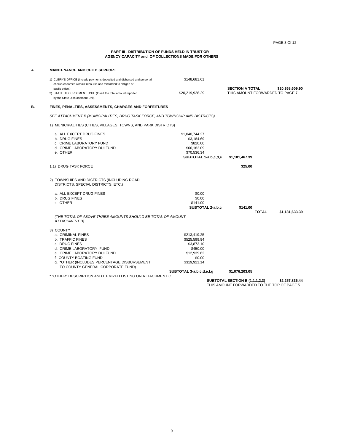PAGE 3 Of 12

#### **PART III - DISTRIBUTION OF FUNDS HELD IN TRUST OR AGENCY CAPACITY and OF COLLECTIONS MADE FOR OTHERS**

#### **A. MAINTENANCE AND CHILD SUPPORT**

| 1) CLERK'S OFFICE (Include payments deposited and disbursed and personal<br>checks endorsed without recourse and forwarded to obligee or | \$148.681.61    |                                                                              |
|------------------------------------------------------------------------------------------------------------------------------------------|-----------------|------------------------------------------------------------------------------|
| public office.)<br>2) STATE DISBURSEMENT UNIT (Insert the total amount reported<br>by the State Disbursement Unit)                       | \$20.219.928.29 | <b>SECTION A TOTAL</b><br>\$20.368.609.90<br>THIS AMOUNT FORWARDED TO PAGE 7 |

#### **B. FINES, PENALTIES, ASSESSMENTS, CHARGES AND FORFEITURES**

*SEE ATTACHMENT B (MUNICIPALITIES, DRUG TASK FORCE, AND TOWNSHIP AND DISTRICTS)*

1) MUNICIPALITIES (CITIES, VILLAGES, TOWNS, AND PARK DISTRICTS)

| a. ALL EXCEPT DRUG FINES<br>b. DRUG FINES<br>c. CRIME LABORATORY FUND<br>d. CRIME LABORATORY DUI FUND<br>e. OTHER                                                                                                                             | \$1.040.744.27<br>\$3,184.69<br>\$820.00<br>\$66,182.09<br>\$70,536.34<br>SUBTOTAL 1-a,b,c,d,e                              | \$1,181,467.39                                                                      |                |
|-----------------------------------------------------------------------------------------------------------------------------------------------------------------------------------------------------------------------------------------------|-----------------------------------------------------------------------------------------------------------------------------|-------------------------------------------------------------------------------------|----------------|
| 1.1) DRUG TASK FORCE                                                                                                                                                                                                                          |                                                                                                                             | \$25.00                                                                             |                |
| 2) TOWNSHIPS AND DISTRICTS (INCLUDING ROAD<br>DISTRICTS, SPECIAL DISTRICTS, ETC.)                                                                                                                                                             |                                                                                                                             |                                                                                     |                |
| a. ALL EXCEPT DRUG FINES<br>b. DRUG FINES<br>c OTHER                                                                                                                                                                                          | \$0.00<br>\$0.00<br>\$141.00<br>SUBTOTAL 2-a,b,c                                                                            | \$141.00                                                                            |                |
| (THE TOTAL OF ABOVE THREE AMOUNTS SHOULD BE TOTAL OF AMOUNT<br><b>ATTACHMENT B)</b>                                                                                                                                                           |                                                                                                                             | <b>TOTAL</b>                                                                        | \$1,181,633.39 |
| 3) COUNTY<br>a. CRIMINAL FINES<br>b. TRAFFIC FINES<br>c. DRUG FINES<br>d. CRIME LABORATORY FUND<br>e. CRIME LABORATORY DUI FUND<br>f. COUNTY BOATING FUND<br>g. *OTHER (INCLUDES PERCENTAGE DISBURSEMENT<br>TO COUNTY GENERAL CORPORATE FUND) | \$213,419.25<br>\$525,599.94<br>\$3,873.10<br>\$450.00<br>\$12.939.62<br>\$0.00<br>\$319,921.14<br>SUBTOTAL 3-a,b,c,d,e,f,g | \$1,076,203.05                                                                      |                |
| * "OTHER" DESCRIPTION AND ITEMIZED LISTING ON ATTACHMENT C                                                                                                                                                                                    |                                                                                                                             |                                                                                     |                |
|                                                                                                                                                                                                                                               |                                                                                                                             | <b>SUBTOTAL SECTION B (1,1.1,2,3)</b><br>THIS AMOUNT FORWARDED TO THE TOP OF PAGE 5 | \$2,257,836.44 |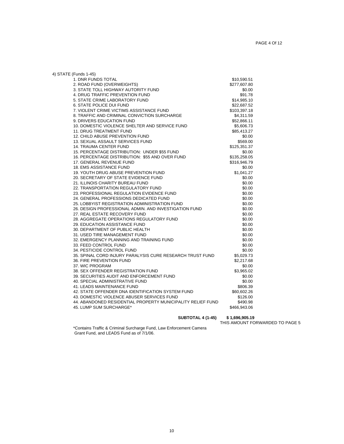| 4) STATE (Funds 1-45)                                       |              |
|-------------------------------------------------------------|--------------|
| 1. DNR FUNDS TOTAL                                          | \$10,590.51  |
| 2. ROAD FUND (OVERWEIGHTS)                                  | \$277,607.80 |
| 3. STATE TOLL HIGHWAY AUTORITY FUND                         | \$0.00       |
| 4. DRUG TRAFFIC PREVENTION FUND                             | \$91.78      |
| 5. STATE CRIME LABORATORY FUND                              | \$14,985.10  |
| <b>6. STATE POLICE DUI FUND</b>                             | \$22,687.52  |
| 7. VIOLENT CRIME VICTIMS ASSISTANCE FUND                    | \$103,397.18 |
| 8. TRAFFIC AND CRIMINAL CONVICTION SURCHARGE                | \$4,311.59   |
| 9. DRIVERS EDUCATION FUND                                   | \$52,866.11  |
| 10. DOMESTIC VIOLENCE SHELTER AND SERVICE FUND              | \$5,606.73   |
| <b>11. DRUG TREATMENT FUND</b>                              | \$85,413.27  |
| 12. CHILD ABUSE PREVENTION FUND                             | \$0.00       |
| 13. SEXUAL ASSAULT SERVICES FUND                            | \$569.00     |
| <b>14. TRAUMA CENTER FUND</b>                               | \$125,351.37 |
| 15. PERCENTAGE DISTRIBUTION: UNDER \$55 FUND                | \$0.00       |
| 16. PERCENTAGE DISTRIBUTION: \$55 AND OVER FUND             | \$135,258.05 |
| 17. GENERAL REVENUE FUND                                    | \$316,946.79 |
| <b>18. EMS ASSISTANCE FUND</b>                              | \$0.00       |
| 19. YOUTH DRUG ABUSE PREVENTION FUND                        | \$1,041.27   |
| 20. SECRETARY OF STATE EVIDENCE FUND                        | \$0.00       |
| 21. ILLINOIS CHARITY BUREAU FUND                            | \$0.00       |
| 22. TRANSPORTATION REGULATORY FUND                          | \$0.00       |
| 23. PROFESSIONAL REGULATION EVIDENCE FUND                   | \$0.00       |
| 24. GENERAL PROFESSIONS DEDICATED FUND                      | \$0.00       |
| 25. LOBBYIST REGISTRATION ADMINISTRATION FUND               | \$0.00       |
| 26. DESIGN PROFESSIONAL ADMIN, AND INVESTIGATION FUND       | \$0.00       |
| 27. REAL ESTATE RECOVERY FUND                               | \$0.00       |
| 28. AGGREGATE OPERATIONS REGULATORY FUND                    | \$0.00       |
| 29. EDUCATION ASSISTANCE FUND                               | \$0.00       |
| 30. DEPARTMENT OF PUBLIC HEALTH                             | \$0.00       |
| 31. USED TIRE MANAGEMENT FUND                               | \$0.00       |
| 32. EMERGENCY PLANNING AND TRAINING FUND                    | \$0.00       |
| 33. FEED CONTROL FUND                                       | \$0.00       |
| 34. PESTICIDE CONTROL FUND                                  | \$0.00       |
| 35. SPINAL CORD INJURY PARALYSIS CURE RESEARCH TRUST FUND   | \$5,029.73   |
| 36. FIRE PREVENTION FUND                                    | \$2,217.68   |
| 37. WIC PROGRAM                                             | \$0.00       |
| 38. SEX OFFENDER REGISTRATION FUND                          | \$3,965.02   |
| 39. SECURITIES AUDIT AND ENFORCEMENT FUND                   | \$0.00       |
| 40. SPECIAL ADMINISTRATIVE FUND                             | \$0.00       |
| 41. LEADS MAINTENANCE FUND                                  | \$806.39     |
| 42. STATE OFFENDER DNA IDENTIFICATION SYSTEM FUND           | \$60,602.26  |
| 43. DOMESTIC VIOLENCE ABUSER SERVICES FUND                  | \$126.00     |
| 44. ABANDONED RESIDENTIAL PROPERTY MUNICIPALITY RELIEF FUND | \$490.98     |
| 45. LUMP SUM SURCHARGE*                                     | \$466,943.06 |

**SUBTOTAL 4 (1-45)** 

THIS AMOUNT FORWARDED TO PAGE 5

\*Contains Traffic & Criminal Surcharge Fund, Law Enforcement Camera Grant Fund, and LEADS Fund as of 7/1/06.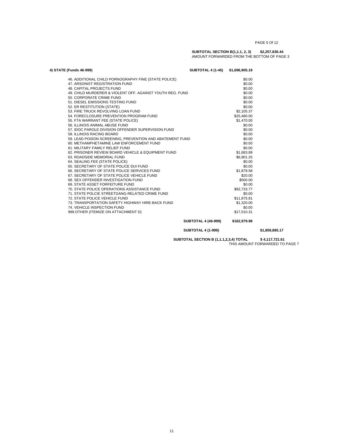#### **SUBTOTAL SECTION B(1,1.1, 2, 3) \$2,257,836.44** AMOUNT FORWARDED FROM THE BOTTOM OF PAGE 3

| 4) STATE (Funds 46-999)                                   | <b>SUBTOTAL 4 (1-45)</b><br>\$1,696,905.19 |
|-----------------------------------------------------------|--------------------------------------------|
| 46. ADDITIONAL CHILD PORNOGRAPHY FINE (STATE POLICE)      | \$0.00                                     |
| 47. ARSONIST REGISTRATION FUND                            | \$0.00                                     |
| <b>48. CAPITAL PROJECTS FUND</b>                          | \$0.00                                     |
| 49. CHILD MURDERER & VIOLENT OFF. AGAINST YOUTH REG. FUND | \$0.00                                     |
| 50. CORPORATE CRIME FUND                                  | \$0.00                                     |
| 51. DIESEL EMISSIONS TESTING FUND                         | \$0.00                                     |
| 52. ER RESTITUTION (STATE)                                | \$0.00                                     |
| 53. FIRE TRUCK REVOLVING LOAN FUND                        | \$2,105.37                                 |
| 54. FORECLOSURE PREVENTION PROGRAM FUND                   | \$25,480.00                                |
| 55. FTA WARRANT FEE (STATE POLICE)                        | \$1,470.00                                 |
| 56. ILLINOIS ANIMAL ABUSE FUND                            | \$0.00                                     |
| 57. IDOC PAROLE DIVISION OFFENDER SUPERVISION FUND        | \$0.00                                     |
| 58. ILLINOIS RACING BOARD                                 | \$0.00                                     |
| 59. LEAD POISON SCREENING, PREVENTION AND ABATEMENT FUND  | \$0.00                                     |
| 60. METHAMPHETAMINE LAW ENFORCEMENT FUND                  | \$0.00                                     |
| 61. MILITARY FAMILY RELIEF FUND                           | \$0.00                                     |
| 62. PRISONER REVIEW BOARD VEHICLE & EQUIPMENT FUND        | \$1,683.89                                 |
| 63. ROADSIDE MEMORIAL FUND                                | \$6,901.25                                 |
| 64. SEALING FEE (STATE POLICE)                            | \$0.00                                     |
| 65. SECRETARY OF STATE POLICE DUI FUND                    | \$0.00                                     |
| 66. SECRETARY OF STATE POLICE SERVICES FUND               | \$1,879.58                                 |
| 67. SECRETARY OF STATE POLICE VEHICLE FUND                | \$20.00                                    |
| 68. SEX OFFENDER INVESTIGATION FUND                       | \$500.00                                   |
| 69. STATE ASSET FORFEITURE FUND                           | \$0.00                                     |
| 70. STATE POLICE OPERATIONS ASSISTANCE FUND               | \$92,733.77                                |
| 71. STATE POLCIE STREETGANG-RELATED CRIME FUND            | \$0.00                                     |
| 72. STATE POLICE VEHICLE FUND                             | \$11,875.81                                |
| 73. TRANSPORTATION SAFETY HIGHWAY HIRE-BACK FUND          | \$1,320.00                                 |
| 74. VEHICLE INSPECTION FUND                               | \$0.00                                     |
| 999.OTHER (ITEMIZE ON ATTACHMENT D)                       | \$17.010.31                                |
| <b>SUBTOTAL 4 (46-999)</b>                                | \$162,979.98                               |

 **SUBTOTAL 4 (1-999) \$1,859,885.17**

**SUBTOTAL SECTION B (1,1.1,2,3,4) TOTAL \$ 4,117,721.61** THIS AMOUNT FORWARDED TO PAGE 7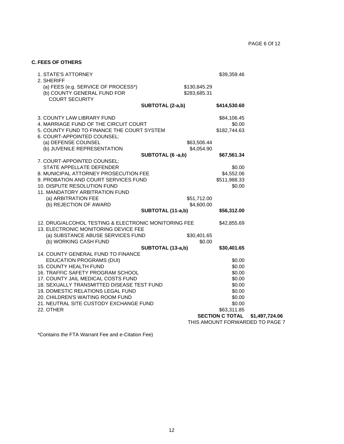#### **C. FEES OF OTHERS**

| <b>1. STATE'S ATTORNEY</b>                                                             |                   |              | \$39,359.46            |                                 |
|----------------------------------------------------------------------------------------|-------------------|--------------|------------------------|---------------------------------|
| 2. SHERIFF                                                                             |                   |              |                        |                                 |
| (a) FEES (e.g. SERVICE OF PROCESS*)                                                    |                   | \$130,845.29 |                        |                                 |
| (b) COUNTY GENERAL FUND FOR                                                            |                   | \$283,685.31 |                        |                                 |
| <b>COURT SECURITY</b>                                                                  |                   |              |                        |                                 |
|                                                                                        | SUBTOTAL (2-a,b)  |              | \$414,530.60           |                                 |
| 3. COUNTY LAW LIBRARY FUND                                                             |                   |              | \$84,106.45            |                                 |
| 4. MARRIAGE FUND OF THE CIRCUIT COURT                                                  |                   |              | \$0.00                 |                                 |
| 5. COUNTY FUND TO FINANCE THE COURT SYSTEM                                             |                   |              | \$182,744.63           |                                 |
| 6. COURT-APPOINTED COUNSEL:                                                            |                   |              |                        |                                 |
| (a) DEFENSE COUNSEL                                                                    |                   | \$63,506.44  |                        |                                 |
| (b) JUVENILE REPRESENTATION                                                            |                   | \$4,054.90   |                        |                                 |
|                                                                                        | SUBTOTAL (6 -a,b) |              | \$67,561.34            |                                 |
| 7. COURT-APPOINTED COUNSEL:                                                            |                   |              |                        |                                 |
| STATE APPELLATE DEFENDER                                                               |                   |              | \$0.00                 |                                 |
| 8. MUNICIPAL ATTORNEY PROSECUTION FEE                                                  |                   |              | \$4,552.06             |                                 |
| 9. PROBATION AND COURT SERVICES FUND                                                   |                   |              | \$511,988.33           |                                 |
| 10. DISPUTE RESOLUTION FUND                                                            |                   |              | \$0.00                 |                                 |
| 11. MANDATORY ARBITRATION FUND                                                         |                   |              |                        |                                 |
| (a) ARBITRATION FEE                                                                    |                   | \$51,712.00  |                        |                                 |
| (b) REJECTION OF AWARD                                                                 |                   | \$4,600.00   |                        |                                 |
|                                                                                        | SUBTOTAL (11-a,b) |              | \$56,312.00            |                                 |
| 12. DRUG/ALCOHOL TESTING & ELECTRONIC MONITORING FEE                                   |                   |              | \$42,855.69            |                                 |
| 13. ELECTRONIC MONITORING DEVICE FEE                                                   |                   |              |                        |                                 |
| (a) SUBSTANCE ABUSE SERVICES FUND                                                      |                   | \$30,401.65  |                        |                                 |
| (b) WORKING CASH FUND                                                                  |                   | \$0.00       |                        |                                 |
|                                                                                        | SUBTOTAL (13-a,b) |              | \$30,401.65            |                                 |
| 14. COUNTY GENERAL FUND TO FINANCE                                                     |                   |              |                        |                                 |
| EDUCATION PROGRAMS (DUI)                                                               |                   |              | \$0.00                 |                                 |
| <b>15. COUNTY HEALTH FUND</b>                                                          |                   |              | \$0.00                 |                                 |
| <b>16. TRAFFIC SAFETY PROGRAM SCHOOL</b>                                               |                   |              | \$0.00                 |                                 |
| 17. COUNTY JAIL MEDICAL COSTS FUND                                                     |                   |              | \$0.00                 |                                 |
| 18. SEXUALLY TRANSMITTED DISEASE TEST FUND<br><b>19. DOMESTIC RELATIONS LEGAL FUND</b> |                   |              | \$0.00<br>\$0.00       |                                 |
| 20. CHILDREN'S WAITING ROOM FUND                                                       |                   |              | \$0.00                 |                                 |
| 21. NEUTRAL SITE CUSTODY EXCHANGE FUND                                                 |                   |              | \$0.00                 |                                 |
| 22. OTHER                                                                              |                   |              | \$63,311.85            |                                 |
|                                                                                        |                   |              | <b>SECTION C TOTAL</b> | \$1,497,724.06                  |
|                                                                                        |                   |              |                        | THIS AMOUNT FORWARDED TO PAGE 7 |

\*Contains the FTA Warrant Fee and e-Citation Fee)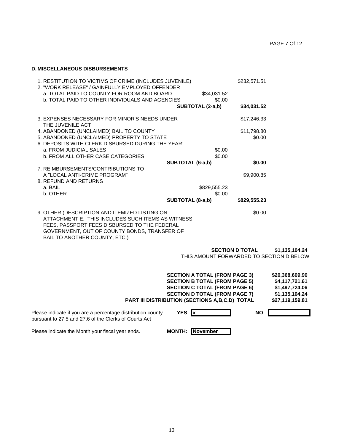#### **D. MISCELLANEOUS DISBURSEMENTS**

| 1. RESTITUTION TO VICTIMS OF CRIME (INCLUDES JUVENILE)<br>2. "WORK RELEASE" / GAINFULLY EMPLOYED OFFENDER<br>a. TOTAL PAID TO COUNTY FOR ROOM AND BOARD                                                                             | \$34,031.52      | \$232,571.51 |
|-------------------------------------------------------------------------------------------------------------------------------------------------------------------------------------------------------------------------------------|------------------|--------------|
| <b>b. TOTAL PAID TO OTHER INDIVIDUALS AND AGENCIES</b>                                                                                                                                                                              | \$0.00           |              |
|                                                                                                                                                                                                                                     | SUBTOTAL (2-a,b) | \$34,031.52  |
| 3. EXPENSES NECESSARY FOR MINOR'S NEEDS UNDER<br>THE JUVENILE ACT                                                                                                                                                                   |                  | \$17,246.33  |
| 4. ABANDONED (UNCLAIMED) BAIL TO COUNTY                                                                                                                                                                                             |                  | \$11,798.80  |
| 5. ABANDONED (UNCLAIMED) PROPERTY TO STATE                                                                                                                                                                                          |                  | \$0.00       |
| 6. DEPOSITS WITH CLERK DISBURSED DURING THE YEAR:                                                                                                                                                                                   |                  |              |
| a. FROM JUDICIAL SALES                                                                                                                                                                                                              | \$0.00           |              |
| <b>b. FROM ALL OTHER CASE CATEGORIES</b>                                                                                                                                                                                            | \$0.00           |              |
|                                                                                                                                                                                                                                     | SUBTOTAL (6-a,b) | \$0.00       |
| 7. REIMBURSEMENTS/CONTRIBUTIONS TO                                                                                                                                                                                                  |                  |              |
| A "LOCAL ANTI-CRIME PROGRAM"                                                                                                                                                                                                        |                  | \$9,900.85   |
| 8. REFUND AND RETURNS                                                                                                                                                                                                               |                  |              |
| a. BAIL                                                                                                                                                                                                                             | \$829,555.23     |              |
| b. OTHER                                                                                                                                                                                                                            | \$0.00           |              |
|                                                                                                                                                                                                                                     | SUBTOTAL (8-a,b) | \$829,555.23 |
| 9. OTHER (DESCRIPTION AND ITEMIZED LISTING ON<br>ATTACHMENT E. THIS INCLUDES SUCH ITEMS AS WITNESS<br>FEES, PASSPORT FEES DISBURSED TO THE FEDERAL<br>GOVERNMENT, OUT OF COUNTY BONDS, TRANSFER OF<br>BAIL TO ANOTHER COUNTY, ETC.) |                  | \$0.00       |
|                                                                                                                                                                                                                                     |                  |              |

 **SECTION D TOTAL \$1,135,104.24**

THIS AMOUNT FORWARDED TO SECTION D BELOW

|                                                             | <b>SECTION A TOTAL (FROM PAGE 3)</b>                  | \$20,368,609.90 |
|-------------------------------------------------------------|-------------------------------------------------------|-----------------|
|                                                             | <b>SECTION B TOTAL (FROM PAGE 5)</b>                  | \$4,117,721.61  |
|                                                             | <b>SECTION C TOTAL (FROM PAGE 6)</b>                  | \$1,497,724.06  |
|                                                             | <b>SECTION D TOTAL (FROM PAGE 7)</b>                  | \$1,135,104.24  |
|                                                             | <b>PART III DISTRIBUTION (SECTIONS A,B,C,D) TOTAL</b> | \$27,119,159.81 |
|                                                             |                                                       |                 |
| Please indicate if you are a percentage distribution county | <b>YES</b><br>1x                                      | <b>NO</b>       |

pursuant to 27.5 and 27.6 of the Clerks of Courts Act

Please indicate the Month your fiscal year ends. **MONTH:** November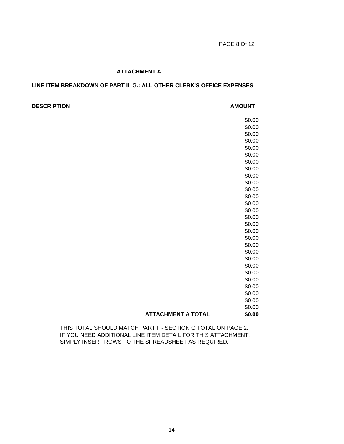#### **ATTACHMENT A**

### **LINE ITEM BREAKDOWN OF PART II. G.: ALL OTHER CLERK'S OFFICE EXPENSES**

#### **DESCRIPTION AMOUNT**

\$0.00 \$0.00 \$0.00 \$0.00 \$0.00 \$0.00 \$0.00 \$0.00 \$0.00 \$0.00 \$0.00 \$0.00 \$0.00 \$0.00 \$0.00 \$0.00 \$0.00 \$0.00 \$0.00 \$0.00 \$0.00 \$0.00 \$0.00 \$0.00 \$0.00 \$0.00 \$0.00 \$0.00 **ATTACHMENT A TOTAL \$0.00**

THIS TOTAL SHOULD MATCH PART II - SECTION G TOTAL ON PAGE 2. IF YOU NEED ADDITIONAL LINE ITEM DETAIL FOR THIS ATTACHMENT, SIMPLY INSERT ROWS TO THE SPREADSHEET AS REQUIRED.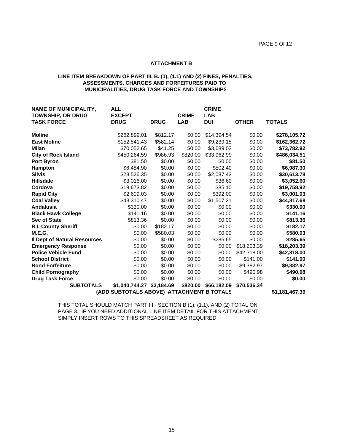#### **ATTACHMENT B**

#### **LINE ITEM BREAKDOWN OF PART III. B. (1), (1.1) AND (2) FINES, PENALTIES, ASSESSMENTS, CHARGES AND FORFEITURES PAID TO MUNICIPALITIES, DRUG TASK FORCE AND TOWNSHIPS**

| <b>NAME OF MUNICIPALITY,</b><br><b>TOWNSHIP, OR DRUG</b>    | <b>ALL</b><br><b>EXCEPT</b> |             | <b>CRIME</b> | <b>CRIME</b><br><b>LAB</b> |              |               |  |
|-------------------------------------------------------------|-----------------------------|-------------|--------------|----------------------------|--------------|---------------|--|
| <b>TASK FORCE</b>                                           | <b>DRUG</b>                 | <b>DRUG</b> | <b>LAB</b>   | <b>DUI</b>                 | <b>OTHER</b> | <b>TOTALS</b> |  |
| <b>Moline</b>                                               | \$262,899.01                | \$812.17    | \$0.00       | \$14,394.54                | \$0.00       | \$278,105.72  |  |
| <b>East Moline</b>                                          | \$152,541.43                | \$582.14    | \$0.00       | \$9,239.15                 | \$0.00       | \$162,362.72  |  |
| <b>Milan</b>                                                | \$70,052.65                 | \$41.25     | \$0.00       | \$3,689.02                 | \$0.00       | \$73,782.92   |  |
| <b>City of Rock Island</b>                                  | \$450,264.59                | \$986.93    | \$820.00     | \$33,962.99                | \$0.00       | \$486,034.51  |  |
| <b>Port Byron</b>                                           | \$81.50                     | \$0.00      | \$0.00       | \$0.00                     | \$0.00       | \$81.50       |  |
| <b>Hampton</b>                                              | \$6,484.90                  | \$0.00      | \$0.00       | \$502.40                   | \$0.00       | \$6,987.30    |  |
| <b>Silvis</b>                                               | \$28,526.35                 | \$0.00      | \$0.00       | \$2,087.43                 | \$0.00       | \$30,613.78   |  |
| <b>Hillsdale</b>                                            | \$3,016.00                  | \$0.00      | \$0.00       | \$36.60                    | \$0.00       | \$3,052.60    |  |
| Cordova                                                     | \$19,673.82                 | \$0.00      | \$0.00       | \$85.10                    | \$0.00       | \$19,758.92   |  |
| <b>Rapid City</b>                                           | \$2,609.03                  | \$0.00      | \$0.00       | \$392.00                   | \$0.00       | \$3,001.03    |  |
| <b>Coal Valley</b>                                          | \$43,310.47                 | \$0.00      | \$0.00       | \$1,507.21                 | \$0.00       | \$44,817.68   |  |
| <b>Andalusia</b>                                            | \$330.00                    | \$0.00      | \$0.00       | \$0.00                     | \$0.00       | \$330.00      |  |
| <b>Black Hawk College</b>                                   | \$141.16                    | \$0.00      | \$0.00       | \$0.00                     | \$0.00       | \$141.16      |  |
| <b>Sec of State</b>                                         | \$813.36                    | \$0.00      | \$0.00       | \$0.00                     | \$0.00       | \$813.36      |  |
| <b>R.I. County Sheriff</b>                                  | \$0.00                      | \$182.17    | \$0.00       | \$0.00                     | \$0.00       | \$182.17      |  |
| M.E.G.                                                      | \$0.00                      | \$580.03    | \$0.00       | \$0.00                     | \$0.00       | \$580.03      |  |
| <b>Il Dept of Natural Resources</b>                         | \$0.00                      | \$0.00      | \$0.00       | \$285.65                   | \$0.00       | \$285.65      |  |
| <b>Emergency Response</b>                                   | \$0.00                      | \$0.00      | \$0.00       | \$0.00                     | \$18,203.39  | \$18,203.39   |  |
| <b>Police Vehicle Fund</b>                                  | \$0.00                      | \$0.00      | \$0.00       | \$0.00                     | \$42,318.00  | \$42,318.00   |  |
| <b>School District</b>                                      | \$0.00                      | \$0.00      | \$0.00       | \$0.00                     | \$141.00     | \$141.00      |  |
| <b>Bond Forfeiture</b>                                      | \$0.00                      | \$0.00      | \$0.00       | \$0.00                     | \$9,382.97   | \$9,382.97    |  |
| <b>Child Pornography</b>                                    | \$0.00                      | \$0.00      | \$0.00       | \$0.00                     | \$490.98     | \$490.98      |  |
| <b>Drug Task Force</b>                                      | \$0.00                      | \$0.00      | \$0.00       | \$0.00                     | \$0.00       | \$0.00        |  |
| <b>SUBTOTALS</b>                                            | \$1,040,744.27 \$3,184.69   |             | \$820.00     | \$66,182.09                | \$70,536.34  |               |  |
| (ADD SUBTOTALS ABOVE) ATTACHMENT B TOTALS<br>\$1,181,467.39 |                             |             |              |                            |              |               |  |

THIS TOTAL SHOULD MATCH PART III - SECTION B (1), (1.1), AND (2) TOTAL ON PAGE 3. IF YOU NEED ADDITIONAL LINE ITEM DETAIL FOR THIS ATTACHMENT, SIMPLY INSERT ROWS TO THIS SPREADSHEET AS REQUIRED.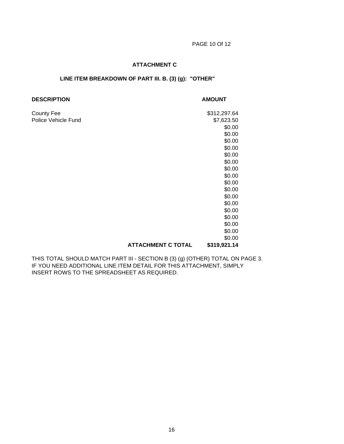### **ATTACHMENT C**

#### **LINE ITEM BREAKDOWN OF PART III. B. (3) (g): "OTHER"**

#### **DESCRIPTION AMOUNT**

County Fee \$312,297.64 Police Vehicle Fund \$7,623.50 \$0.00 \$0.00 \$0.00 \$0.00 \$0.00 \$0.00 \$0.00 \$0.00 \$0.00 \$0.00 \$0.00 \$0.00 \$0.00 \$0.00 \$0.00 \$0.00 \$0.00  **ATTACHMENT C TOTAL \$319,921.14**

THIS TOTAL SHOULD MATCH PART III - SECTION B (3) (g) (OTHER) TOTAL ON PAGE 3. IF YOU NEED ADDITIONAL LINE ITEM DETAIL FOR THIS ATTACHMENT, SIMPLY INSERT ROWS TO THE SPREADSHEET AS REQUIRED.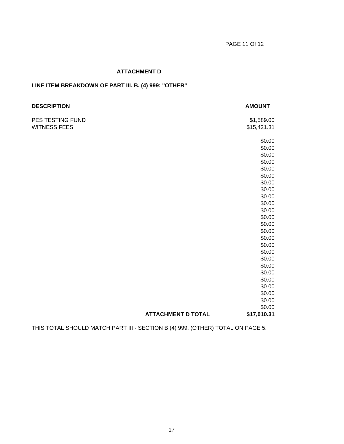# **ATTACHMENT D**

# **LINE ITEM BREAKDOWN OF PART III. B. (4) 999: "OTHER"**

| <b>DESCRIPTION</b>  |                           | <b>AMOUNT</b> |
|---------------------|---------------------------|---------------|
| PES TESTING FUND    |                           | \$1,589.00    |
| <b>WITNESS FEES</b> |                           | \$15,421.31   |
|                     |                           | \$0.00        |
|                     |                           | \$0.00        |
|                     |                           | \$0.00        |
|                     |                           | \$0.00        |
|                     |                           | \$0.00        |
|                     |                           | \$0.00        |
|                     |                           | \$0.00        |
|                     |                           | \$0.00        |
|                     |                           | \$0.00        |
|                     |                           | \$0.00        |
|                     |                           | \$0.00        |
|                     |                           | \$0.00        |
|                     |                           | \$0.00        |
|                     |                           | \$0.00        |
|                     |                           | \$0.00        |
|                     |                           | \$0.00        |
|                     |                           | \$0.00        |
|                     |                           | \$0.00        |
|                     |                           | \$0.00        |
|                     |                           | \$0.00        |
|                     |                           | \$0.00        |
|                     |                           | \$0.00        |
|                     |                           | \$0.00        |
|                     |                           | \$0.00        |
|                     |                           | \$0.00        |
|                     | <b>ATTACHMENT D TOTAL</b> | \$17,010.31   |

THIS TOTAL SHOULD MATCH PART III - SECTION B (4) 999. (OTHER) TOTAL ON PAGE 5.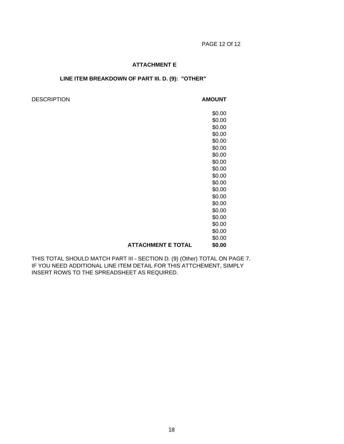#### **ATTACHMENT E**

#### **LINE ITEM BREAKDOWN OF PART III. D. (9): "OTHER"**

#### DESCRIPTION **AMOUNT**

\$0.00 \$0.00 \$0.00 \$0.00 \$0.00 \$0.00 \$0.00 \$0.00 \$0.00 \$0.00 \$0.00 \$0.00 \$0.00 \$0.00 \$0.00 \$0.00 \$0.00 \$0.00 \$0.00  **ATTACHMENT E TOTAL \$0.00**

THIS TOTAL SHOULD MATCH PART III - SECTION D. (9) (Other) TOTAL ON PAGE 7. IF YOU NEED ADDITIONAL LINE ITEM DETAIL FOR THIS ATTCHEMENT, SIMPLY INSERT ROWS TO THE SPREADSHEET AS REQUIRED.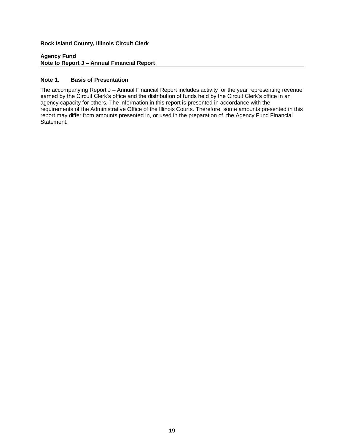#### **Agency Fund Note to Report J – Annual Financial Report**

#### **Note 1. Basis of Presentation**

The accompanying Report J – Annual Financial Report includes activity for the year representing revenue earned by the Circuit Clerk's office and the distribution of funds held by the Circuit Clerk's office in an agency capacity for others. The information in this report is presented in accordance with the requirements of the Administrative Office of the Illinois Courts. Therefore, some amounts presented in this report may differ from amounts presented in, or used in the preparation of, the Agency Fund Financial Statement.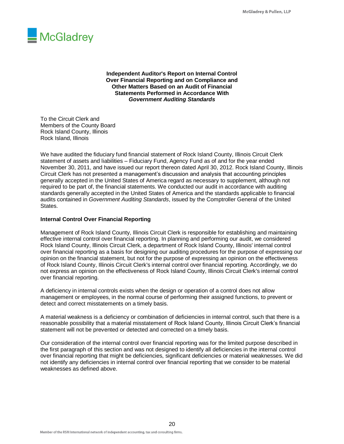

**Independent Auditor's Report on Internal Control Over Financial Reporting and on Compliance and Other Matters Based on an Audit of Financial Statements Performed in Accordance With** *Government Auditing Standards*

To the Circuit Clerk and Members of the County Board Rock Island County, Illinois Rock Island, Illinois

We have audited the fiduciary fund financial statement of Rock Island County, Illinois Circuit Clerk statement of assets and liabilities – Fiduciary Fund, Agency Fund as of and for the year ended November 30, 2011, and have issued our report thereon dated April 30, 2012. Rock Island County, Illinois Circuit Clerk has not presented a management's discussion and analysis that accounting principles generally accepted in the United States of America regard as necessary to supplement, although not required to be part of, the financial statements. We conducted our audit in accordance with auditing standards generally accepted in the United States of America and the standards applicable to financial audits contained in *Government Auditing Standards*, issued by the Comptroller General of the United States.

#### **Internal Control Over Financial Reporting**

Management of Rock Island County, Illinois Circuit Clerk is responsible for establishing and maintaining effective internal control over financial reporting. In planning and performing our audit, we considered Rock Island County, Illinois Circuit Clerk, a department of Rock Island County, Illinois' internal control over financial reporting as a basis for designing our auditing procedures for the purpose of expressing our opinion on the financial statement, but not for the purpose of expressing an opinion on the effectiveness of Rock Island County, Illinois Circuit Clerk's internal control over financial reporting. Accordingly, we do not express an opinion on the effectiveness of Rock Island County, Illinois Circuit Clerk's internal control over financial reporting.

A deficiency in internal controls exists when the design or operation of a control does not allow management or employees, in the normal course of performing their assigned functions, to prevent or detect and correct misstatements on a timely basis.

A material weakness is a deficiency or combination of deficiencies in internal control, such that there is a reasonable possibility that a material misstatement of Rock Island County, Illinois Circuit Clerk's financial statement will not be prevented or detected and corrected on a timely basis.

Our consideration of the internal control over financial reporting was for the limited purpose described in the first paragraph of this section and was not designed to identify all deficiencies in the internal control over financial reporting that might be deficiencies, significant deficiencies or material weaknesses. We did not identify any deficiencies in internal control over financial reporting that we consider to be material weaknesses as defined above.

20